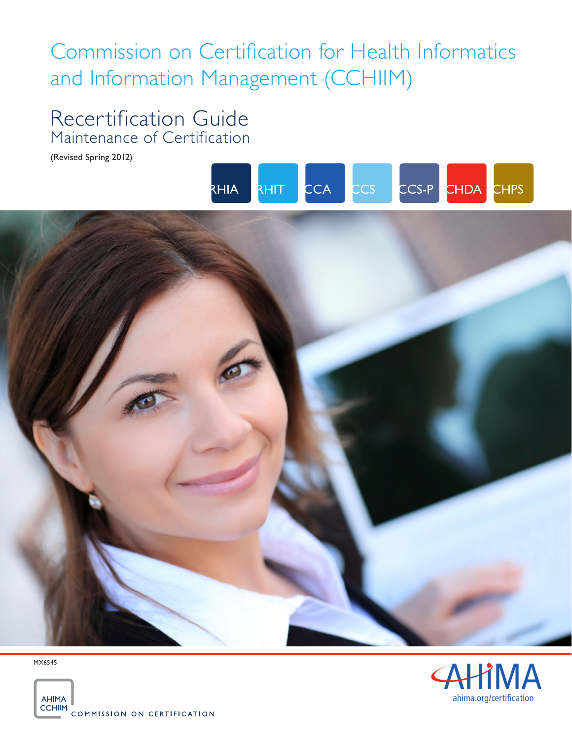# Commission on Certification for Health Informatics and Information Management (CCHIIM)

# Recertification Guide Maintenance of Certification

(Revised Spring 2012)





MX6545



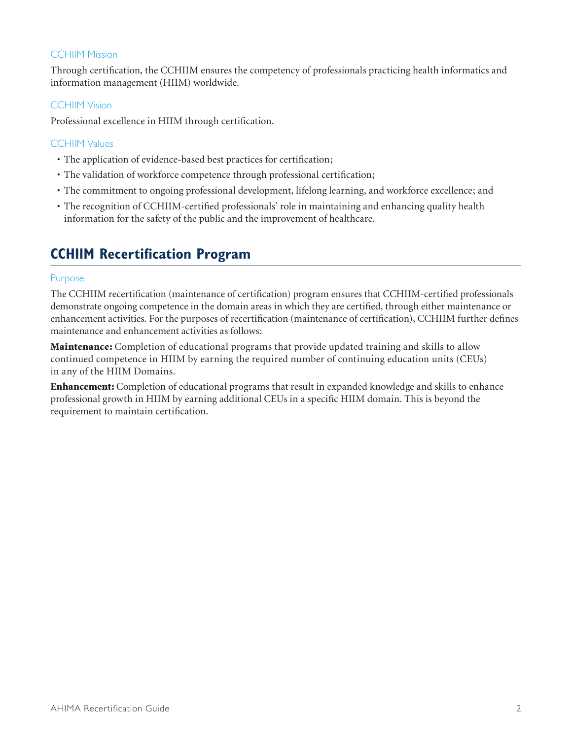### **CCHIIM Mission**

Through certification, the CCHIIM ensures the competency of professionals practicing health informatics and information management (HIIM) worldwide.

### CCHIIM Vision

Professional excellence in HIIM through certification.

### CCHIIM Values

- The application of evidence-based best practices for certification;
- The validation of workforce competence through professional certification;
- • The commitment to ongoing professional development, lifelong learning, and workforce excellence; and
- • The recognition of CCHIIM-certified professionals' role in maintaining and enhancing quality health information for the safety of the public and the improvement of healthcare.

### **CCHIIM Recertification Program**

### Purpose

The CCHIIM recertification (maintenance of certification) program ensures that CCHIIM-certified professionals demonstrate ongoing competence in the domain areas in which they are certified, through either maintenance or enhancement activities. For the purposes of recertification (maintenance of certification), CCHIIM further defines maintenance and enhancement activities as follows:

**Maintenance:** Completion of educational programs that provide updated training and skills to allow continued competence in HIIM by earning the required number of continuing education units (CEUs) in any of the HIIM Domains.

Enhancement: Completion of educational programs that result in expanded knowledge and skills to enhance professional growth in HIIM by earning additional CEUs in a specific HIIM domain. This is beyond the requirement to maintain certification.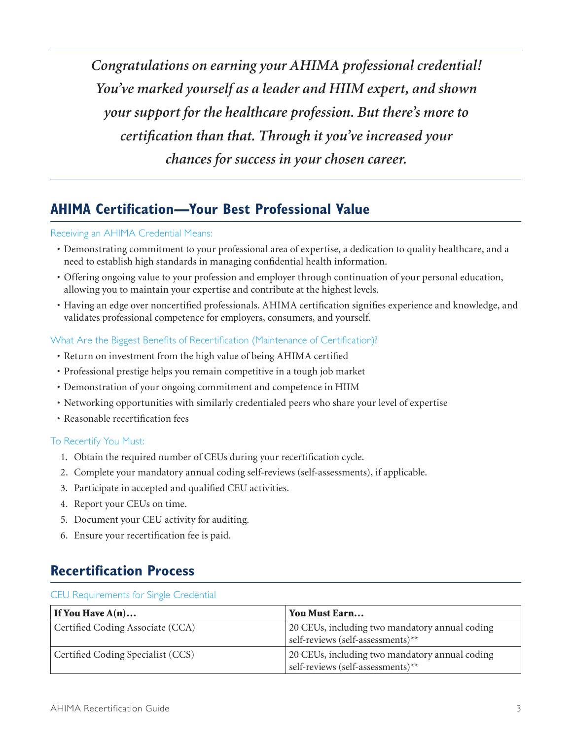*Congratulations on earning your AHIMA professional credential! You've marked yourself as a leader and HIIM expert, and shown your support for the healthcare profession. But there's more to certification than that. Through it you've increased your chances for success in your chosen career.*

### **AHIMA Certification—Your Best Professional Value**

### Receiving an AHIMA Credential Means:

- • Demonstrating commitment to your professional area of expertise, a dedication to quality healthcare, and a need to establish high standards in managing confidential health information.
- • Offering ongoing value to your profession and employer through continuation of your personal education, allowing you to maintain your expertise and contribute at the highest levels.
- • Having an edge over noncertified professionals. AHIMA certification signifies experience and knowledge, and validates professional competence for employers, consumers, and yourself.

### What Are the Biggest Benefits of Recertification (Maintenance of Certification)?

- • Return on investment from the high value of being AHIMA certified
- • Professional prestige helps you remain competitive in a tough job market
- • Demonstration of your ongoing commitment and competence in HIIM
- • Networking opportunities with similarly credentialed peers who share your level of expertise
- Reasonable recertification fees

### To Recertify You Must:

- 1. Obtain the required number of CEUs during your recertification cycle.
- 2. Complete your mandatory annual coding self-reviews (self-assessments), if applicable.
- 3. Participate in accepted and qualified CEU activities.
- 4. Report your CEUs on time.
- 5. Document your CEU activity for auditing.
- 6. Ensure your recertification fee is paid.

### **Recertification Process**

#### CEU Requirements for Single Credential

| If You Have $A(n)$                | You Must Earn                                                                       |
|-----------------------------------|-------------------------------------------------------------------------------------|
| Certified Coding Associate (CCA)  | 20 CEUs, including two mandatory annual coding<br>self-reviews (self-assessments)** |
| Certified Coding Specialist (CCS) | 20 CEUs, including two mandatory annual coding<br>self-reviews (self-assessments)** |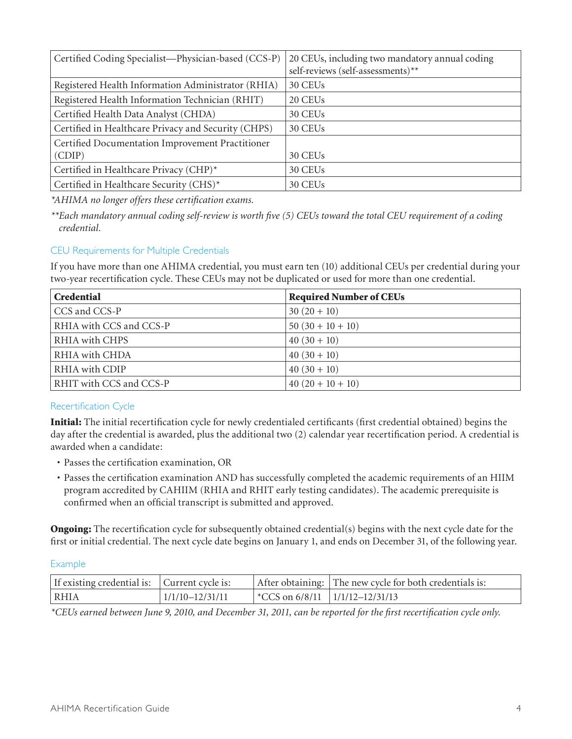| Certified Coding Specialist-Physician-based (CCS-P) | 20 CEUs, including two mandatory annual coding<br>self-reviews (self-assessments)** |
|-----------------------------------------------------|-------------------------------------------------------------------------------------|
| Registered Health Information Administrator (RHIA)  | 30 CEUs                                                                             |
| Registered Health Information Technician (RHIT)     | 20 CEUs                                                                             |
| Certified Health Data Analyst (CHDA)                | 30 CEUs                                                                             |
| Certified in Healthcare Privacy and Security (CHPS) | 30 CEUs                                                                             |
| Certified Documentation Improvement Practitioner    |                                                                                     |
| (CDIP)                                              | 30 CEU <sub>s</sub>                                                                 |
| Certified in Healthcare Privacy (CHP)*              | 30 CEUs                                                                             |
| Certified in Healthcare Security (CHS)*             | 30 CEUs                                                                             |

*\*AHIMA no longer offers these certification exams.* 

*\*\*Each mandatory annual coding self-review is worth five (5) CEUs toward the total CEU requirement of a coding credential.*

### CEU Requirements for Multiple Credentials

If you have more than one AHIMA credential, you must earn ten (10) additional CEUs per credential during your two-year recertification cycle. These CEUs may not be duplicated or used for more than one credential.

| <b>Credential</b>       | <b>Required Number of CEUs</b> |
|-------------------------|--------------------------------|
| CCS and CCS-P           | $30(20+10)$                    |
| RHIA with CCS and CCS-P | $50(30+10+10)$                 |
| RHIA with CHPS          | $40(30+10)$                    |
| RHIA with CHDA          | $40(30+10)$                    |
| RHIA with CDIP          | $40(30+10)$                    |
| RHIT with CCS and CCS-P | $40(20+10+10)$                 |

### Recertification Cycle

Initial: The initial recertification cycle for newly credentialed certificants (first credential obtained) begins the day after the credential is awarded, plus the additional two (2) calendar year recertification period. A credential is awarded when a candidate:

- • Passes the certification examination, OR
- • Passes the certification examination AND has successfully completed the academic requirements of an HIIM program accredited by CAHIIM (RHIA and RHIT early testing candidates). The academic prerequisite is confirmed when an official transcript is submitted and approved.

**Ongoing:** The recertification cycle for subsequently obtained credential(s) begins with the next cycle date for the first or initial credential. The next cycle date begins on January 1, and ends on December 31, of the following year.

### Example

| If existing credential is: Current cycle is: |                     |                                      | After obtaining: The new cycle for both credentials is: |
|----------------------------------------------|---------------------|--------------------------------------|---------------------------------------------------------|
| RHIA                                         | $1/1/10 - 12/31/11$ | *CCS on $6/8/11$   $1/1/12-12/31/13$ |                                                         |

*\*CEUs earned between June 9, 2010, and December 31, 2011, can be reported for the first recertification cycle only.*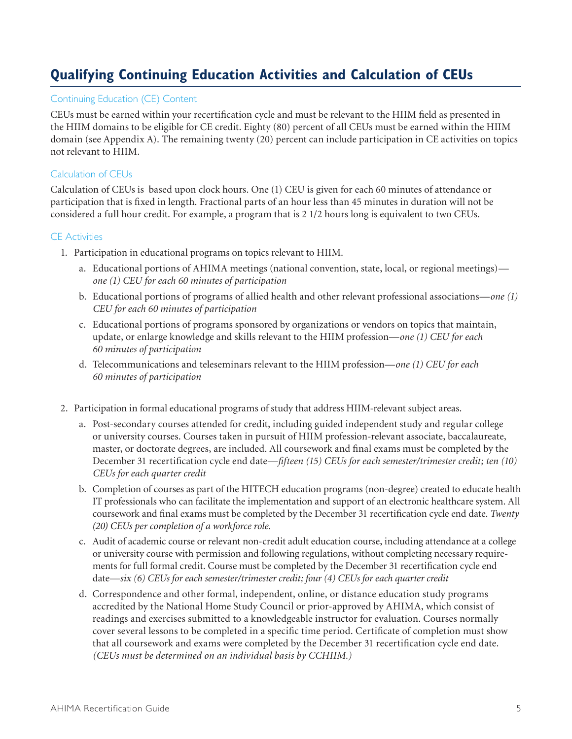# **Qualifying Continuing Education Activities and Calculation of CEUs**

### Continuing Education (CE) Content

CEUs must be earned within your recertification cycle and must be relevant to the HIIM field as presented in the HIIM domains to be eligible for CE credit. Eighty (80) percent of all CEUs must be earned within the HIIM domain (see Appendix A). The remaining twenty (20) percent can include participation in CE activities on topics not relevant to HIIM.

### Calculation of CEUs

Calculation of CEUs is based upon clock hours. One (1) CEU is given for each 60 minutes of attendance or participation that is fixed in length. Fractional parts of an hour less than 45 minutes in duration will not be considered a full hour credit. For example, a program that is 2 1/2 hours long is equivalent to two CEUs.

### CE Activities

- 1. Participation in educational programs on topics relevant to HIIM.
	- a. Educational portions of AHIMA meetings (national convention, state, local, or regional meetings) *one (1) CEU for each 60 minutes of participation*
	- b. Educational portions of programs of allied health and other relevant professional associations—*one (1) CEU for each 60 minutes of participation*
	- c. Educational portions of programs sponsored by organizations or vendors on topics that maintain, update, or enlarge knowledge and skills relevant to the HIIM profession—*one (1) CEU for each 60 minutes of participation*
	- d. Telecommunications and teleseminars relevant to the HIIM profession—*one (1) CEU for each 60 minutes of participation*
- 2. Participation in formal educational programs of study that address HIIM-relevant subject areas.
	- a. Post-secondary courses attended for credit, including guided independent study and regular college or university courses. Courses taken in pursuit of HIIM profession-relevant associate, baccalaureate, master, or doctorate degrees, are included. All coursework and final exams must be completed by the December 31 recertification cycle end date—*fifteen (15) CEUs for each semester/trimester credit; ten (10) CEUs for each quarter credit*
	- b. Completion of courses as part of the HITECH education programs (non-degree) created to educate health IT professionals who can facilitate the implementation and support of an electronic healthcare system. All coursework and final exams must be completed by the December 31 recertification cycle end date. *Twenty (20) CEUs per completion of a workforce role.*
	- c. Audit of academic course or relevant non-credit adult education course, including attendance at a college or university course with permission and following regulations, without completing necessary requirements for full formal credit. Course must be completed by the December 31 recertification cycle end date—*six (6) CEUs for each semester/trimester credit; four (4) CEUs for each quarter credit*
	- d. Correspondence and other formal, independent, online, or distance education study programs accredited by the National Home Study Council or prior-approved by AHIMA, which consist of readings and exercises submitted to a knowledgeable instructor for evaluation. Courses normally cover several lessons to be completed in a specific time period. Certificate of completion must show that all coursework and exams were completed by the December 31 recertification cycle end date. *(CEUs must be determined on an individual basis by CCHIIM.)*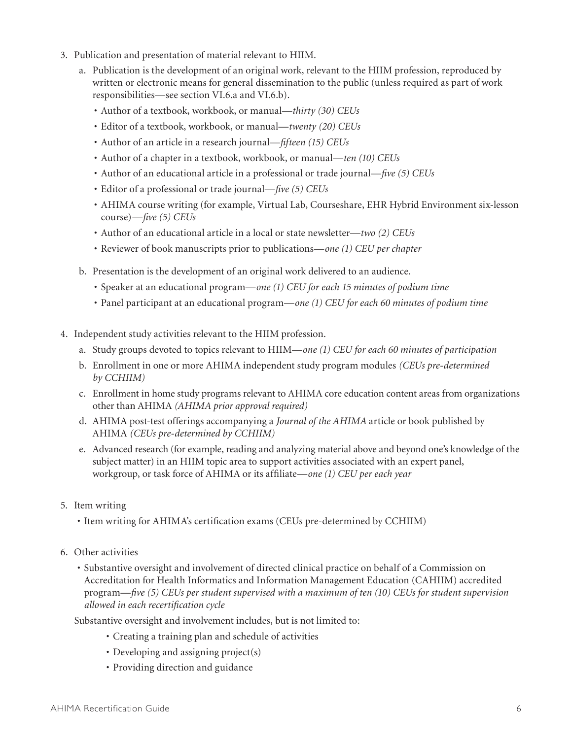- 3. Publication and presentation of material relevant to HIIM.
	- a. Publication is the development of an original work, relevant to the HIIM profession, reproduced by written or electronic means for general dissemination to the public (unless required as part of work responsibilities—see section VI.6.a and VI.6.b).
		- • Author of a textbook, workbook, or manual—*thirty (30) CEUs*
		- • Editor of a textbook, workbook, or manual—*twenty (20) CEUs*
		- • Author of an article in a research journal—*fifteen (15) CEUs*
		- • Author of a chapter in a textbook, workbook, or manual—*ten (10) CEUs*
		- • Author of an educational article in a professional or trade journal—*five (5) CEUs*
		- • Editor of a professional or trade journal—*five (5) CEUs*
		- • AHIMA course writing (for example, Virtual Lab, Courseshare, EHR Hybrid Environment six-lesson course)—*five (5) CEUs*
		- • Author of an educational article in a local or state newsletter—*two (2) CEUs*
		- • Reviewer of book manuscripts prior to publications—*one (1) CEU per chapter*
	- b. Presentation is the development of an original work delivered to an audience.
		- • Speaker at an educational program—*one (1) CEU for each 15 minutes of podium time*
		- • Panel participant at an educational program—*one (1) CEU for each 60 minutes of podium time*
- 4. Independent study activities relevant to the HIIM profession.
	- a. Study groups devoted to topics relevant to HIIM—*one (1) CEU for each 60 minutes of participation*
	- b. Enrollment in one or more AHIMA independent study program modules *(CEUs pre-determined by CCHIIM)*
	- c. Enrollment in home study programs relevant to AHIMA core education content areas from organizations other than AHIMA *(AHIMA prior approval required)*
	- d. AHIMA post-test offerings accompanying a *Journal of the AHIMA* article or book published by AHIMA *(CEUs pre-determined by CCHIIM)*
	- e. Advanced research (for example, reading and analyzing material above and beyond one's knowledge of the subject matter) in an HIIM topic area to support activities associated with an expert panel, workgroup, or task force of AHIMA or its affiliate—*one (1) CEU per each year*
- 5. Item writing
	- • Item writing for AHIMA's certification exams (CEUs pre-determined by CCHIIM)
- 6. Other activities
	- • Substantive oversight and involvement of directed clinical practice on behalf of a Commission on Accreditation for Health Informatics and Information Management Education (CAHIIM) accredited program—*five (5) CEUs per student supervised with a maximum of ten (10) CEUs for student supervision allowed in each recertification cycle*

Substantive oversight and involvement includes, but is not limited to:

- • Creating a training plan and schedule of activities
- Developing and assigning project(s)
- Providing direction and guidance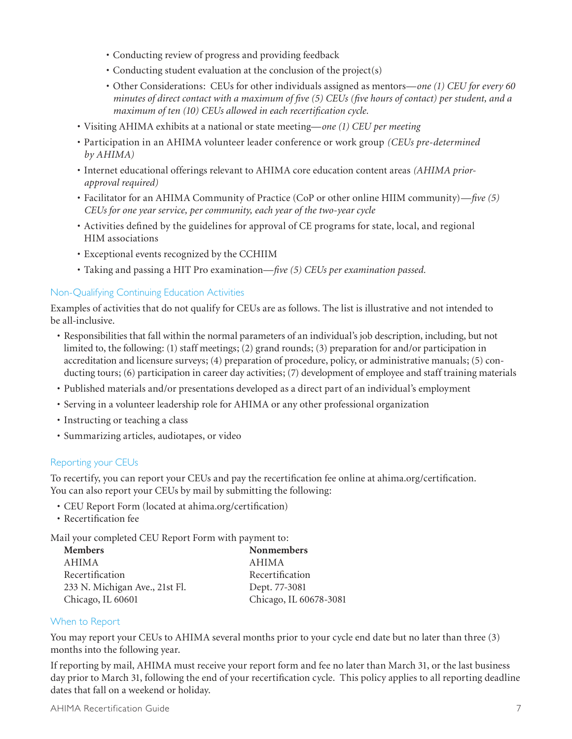- • Conducting review of progress and providing feedback
- Conducting student evaluation at the conclusion of the project(s)
- • Other Considerations: CEUs for other individuals assigned as mentors—*one (1) CEU for every 60 minutes of direct contact with a maximum of five (5) CEUs (five hours of contact) per student, and a maximum of ten (10) CEUs allowed in each recertification cycle.*
- • Visiting AHIMA exhibits at a national or state meeting—*one (1) CEU per meeting*
- • Participation in an AHIMA volunteer leader conference or work group *(CEUs pre-determined by AHIMA)*
- • Internet educational offerings relevant to AHIMA core education content areas *(AHIMA priorapproval required)*
- • Facilitator for an AHIMA Community of Practice (CoP or other online HIIM community)—*five (5) CEUs for one year service, per community, each year of the two-year cycle*
- • Activities defined by the guidelines for approval of CE programs for state, local, and regional HIM associations
- • Exceptional events recognized by the CCHIIM
- • Taking and passing a HIT Pro examination—*five (5) CEUs per examination passed.*

### Non-Qualifying Continuing Education Activities

Examples of activities that do not qualify for CEUs are as follows. The list is illustrative and not intended to be all-inclusive.

- • Responsibilities that fall within the normal parameters of an individual's job description, including, but not limited to, the following: (1) staff meetings; (2) grand rounds; (3) preparation for and/or participation in accreditation and licensure surveys; (4) preparation of procedure, policy, or administrative manuals; (5) conducting tours; (6) participation in career day activities; (7) development of employee and staff training materials
- • Published materials and/or presentations developed as a direct part of an individual's employment
- • Serving in a volunteer leadership role for AHIMA or any other professional organization
- Instructing or teaching a class
- • Summarizing articles, audiotapes, or video

### Reporting your CEUs

To recertify, you can report your CEUs and pay the recertification fee online at ahima.org/certification. You can also report your CEUs by mail by submitting the following:

- • CEU Report Form (located at ahima.org/certification)
- • Recertification fee

Mail your completed CEU Report Form with payment to:

| <b>Members</b>                 | <b>Nonmembers</b>      |
|--------------------------------|------------------------|
| AHIMA                          | AHIMA                  |
| Recertification                | Recertification        |
| 233 N. Michigan Ave., 21st Fl. | Dept. 77-3081          |
| Chicago, IL 60601              | Chicago, IL 60678-3081 |

### When to Report

You may report your CEUs to AHIMA several months prior to your cycle end date but no later than three (3) months into the following year.

If reporting by mail, AHIMA must receive your report form and fee no later than March 31, or the last business day prior to March 31, following the end of your recertification cycle. This policy applies to all reporting deadline dates that fall on a weekend or holiday.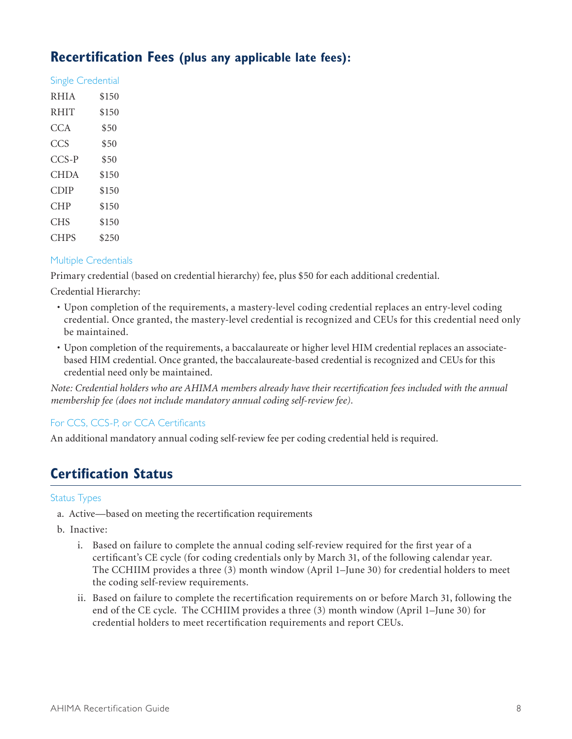### **Recertification Fees (plus any applicable late fees):**

| <b>Single Credential</b> |       |
|--------------------------|-------|
| <b>RHIA</b>              | \$150 |
| <b>RHIT</b>              | \$150 |
| CCA                      | \$50  |
| <b>CCS</b>               | \$50  |
| $CCS-P$                  | \$50  |
| CHDA                     | \$150 |
| CDIP                     | \$150 |
| CHP                      | \$150 |
| CHS                      | \$150 |
| <b>CHPS</b>              | \$250 |

### Multiple Credentials

Primary credential (based on credential hierarchy) fee, plus \$50 for each additional credential.

Credential Hierarchy:

- • Upon completion of the requirements, a mastery-level coding credential replaces an entry-level coding credential. Once granted, the mastery-level credential is recognized and CEUs for this credential need only be maintained.
- • Upon completion of the requirements, a baccalaureate or higher level HIM credential replaces an associatebased HIM credential. Once granted, the baccalaureate-based credential is recognized and CEUs for this credential need only be maintained.

*Note: Credential holders who are AHIMA members already have their recertification fees included with the annual membership fee (does not include mandatory annual coding self-review fee).*

### For CCS, CCS-P, or CCA Certificants

An additional mandatory annual coding self-review fee per coding credential held is required.

# **Certification Status**

### Status Types

- a. Active—based on meeting the recertification requirements
- b. Inactive:
	- i. Based on failure to complete the annual coding self-review required for the first year of a certificant's CE cycle (for coding credentials only by March 31, of the following calendar year. The CCHIIM provides a three (3) month window (April 1–June 30) for credential holders to meet the coding self-review requirements.
	- ii. Based on failure to complete the recertification requirements on or before March 31, following the end of the CE cycle. The CCHIIM provides a three (3) month window (April 1–June 30) for credential holders to meet recertification requirements and report CEUs.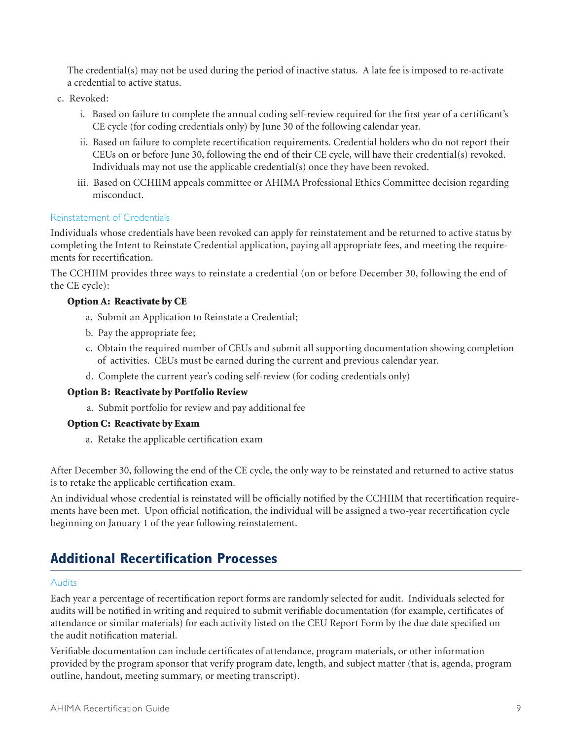The credential(s) may not be used during the period of inactive status. A late fee is imposed to re-activate a credential to active status.

- c. Revoked:
	- i. Based on failure to complete the annual coding self-review required for the first year of a certificant's CE cycle (for coding credentials only) by June 30 of the following calendar year.
	- ii. Based on failure to complete recertification requirements. Credential holders who do not report their CEUs on or before June 30, following the end of their CE cycle, will have their credential(s) revoked. Individuals may not use the applicable credential(s) once they have been revoked.
	- iii. Based on CCHIIM appeals committee or AHIMA Professional Ethics Committee decision regarding misconduct.

### Reinstatement of Credentials

Individuals whose credentials have been revoked can apply for reinstatement and be returned to active status by completing the Intent to Reinstate Credential application, paying all appropriate fees, and meeting the requirements for recertification.

The CCHIIM provides three ways to reinstate a credential (on or before December 30, following the end of the CE cycle):

### Option A: Reactivate by CE

- a. Submit an Application to Reinstate a Credential;
- b. Pay the appropriate fee;
- c. Obtain the required number of CEUs and submit all supporting documentation showing completion of activities. CEUs must be earned during the current and previous calendar year.
- d. Complete the current year's coding self-review (for coding credentials only)

### Option B: Reactivate by Portfolio Review

a. Submit portfolio for review and pay additional fee

### Option C: Reactivate by Exam

a. Retake the applicable certification exam

After December 30, following the end of the CE cycle, the only way to be reinstated and returned to active status is to retake the applicable certification exam.

An individual whose credential is reinstated will be officially notified by the CCHIIM that recertification requirements have been met. Upon official notification, the individual will be assigned a two-year recertification cycle beginning on January 1 of the year following reinstatement.

### **Additional Recertification Processes**

### Audits

Each year a percentage of recertification report forms are randomly selected for audit. Individuals selected for audits will be notified in writing and required to submit verifiable documentation (for example, certificates of attendance or similar materials) for each activity listed on the CEU Report Form by the due date specified on the audit notification material.

Verifiable documentation can include certificates of attendance, program materials, or other information provided by the program sponsor that verify program date, length, and subject matter (that is, agenda, program outline, handout, meeting summary, or meeting transcript).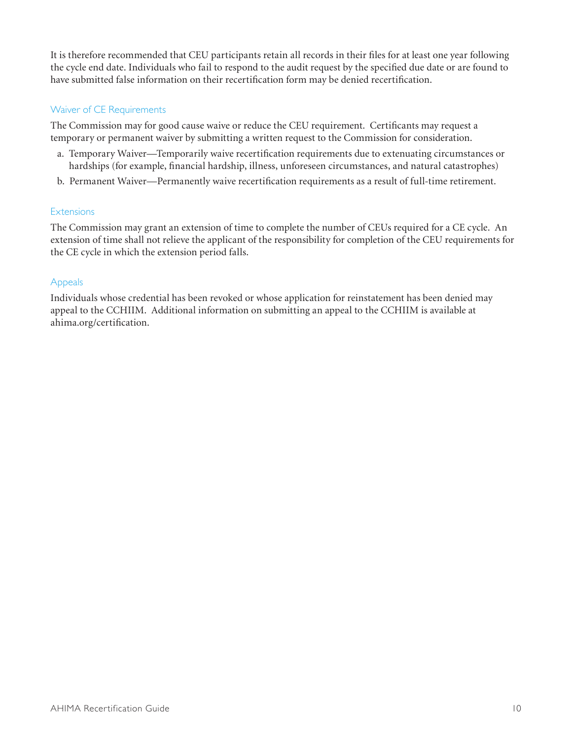It is therefore recommended that CEU participants retain all records in their files for at least one year following the cycle end date. Individuals who fail to respond to the audit request by the specified due date or are found to have submitted false information on their recertification form may be denied recertification.

### Waiver of CE Requirements

The Commission may for good cause waive or reduce the CEU requirement. Certificants may request a temporary or permanent waiver by submitting a written request to the Commission for consideration.

- a. Temporary Waiver—Temporarily waive recertification requirements due to extenuating circumstances or hardships (for example, financial hardship, illness, unforeseen circumstances, and natural catastrophes)
- b. Permanent Waiver—Permanently waive recertification requirements as a result of full-time retirement.

### Extensions

The Commission may grant an extension of time to complete the number of CEUs required for a CE cycle. An extension of time shall not relieve the applicant of the responsibility for completion of the CEU requirements for the CE cycle in which the extension period falls.

### Appeals

Individuals whose credential has been revoked or whose application for reinstatement has been denied may appeal to the CCHIIM. Additional information on submitting an appeal to the CCHIIM is available at ahima.org/certification.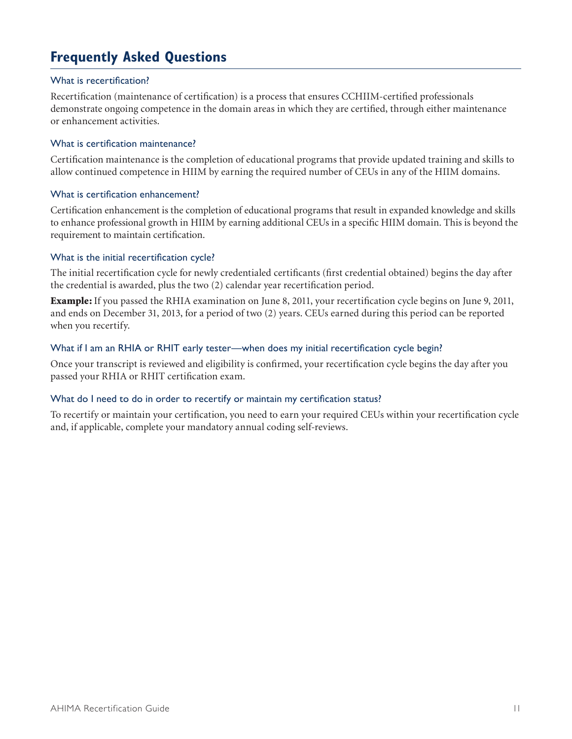# **Frequently Asked Questions**

### What is recertification?

Recertification (maintenance of certification) is a process that ensures CCHIIM-certified professionals demonstrate ongoing competence in the domain areas in which they are certified, through either maintenance or enhancement activities.

### What is certification maintenance?

Certification maintenance is the completion of educational programs that provide updated training and skills to allow continued competence in HIIM by earning the required number of CEUs in any of the HIIM domains.

### What is certification enhancement?

Certification enhancement is the completion of educational programs that result in expanded knowledge and skills to enhance professional growth in HIIM by earning additional CEUs in a specific HIIM domain. This is beyond the requirement to maintain certification.

### What is the initial recertification cycle?

The initial recertification cycle for newly credentialed certificants (first credential obtained) begins the day after the credential is awarded, plus the two (2) calendar year recertification period.

Example: If you passed the RHIA examination on June 8, 2011, your recertification cycle begins on June 9, 2011, and ends on December 31, 2013, for a period of two (2) years. CEUs earned during this period can be reported when you recertify.

### What if I am an RHIA or RHIT early tester—when does my initial recertification cycle begin?

Once your transcript is reviewed and eligibility is confirmed, your recertification cycle begins the day after you passed your RHIA or RHIT certification exam.

#### What do I need to do in order to recertify or maintain my certification status?

To recertify or maintain your certification, you need to earn your required CEUs within your recertification cycle and, if applicable, complete your mandatory annual coding self-reviews.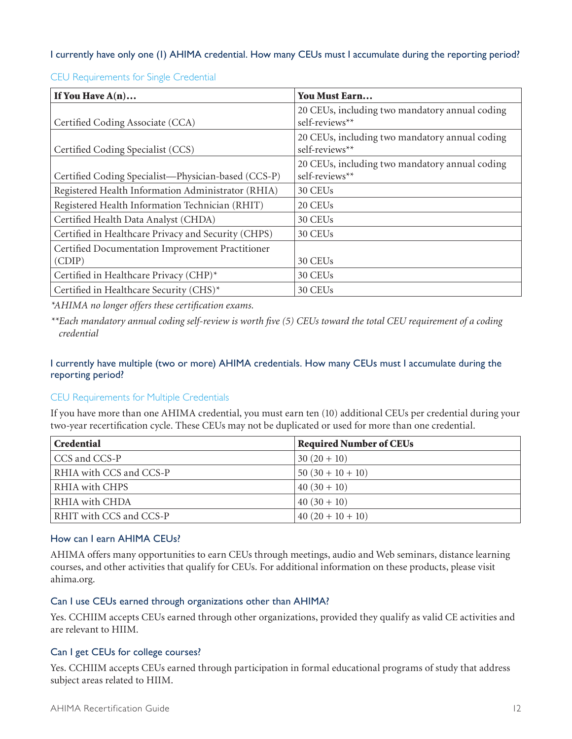### I currently have only one (1) AHIMA credential. How many CEUs must I accumulate during the reporting period?

| If You Have $A(n)$                                  | You Must Earn                                                    |
|-----------------------------------------------------|------------------------------------------------------------------|
| Certified Coding Associate (CCA)                    | 20 CEUs, including two mandatory annual coding<br>self-reviews** |
| Certified Coding Specialist (CCS)                   | 20 CEUs, including two mandatory annual coding<br>self-reviews** |
| Certified Coding Specialist-Physician-based (CCS-P) | 20 CEUs, including two mandatory annual coding<br>self-reviews** |
| Registered Health Information Administrator (RHIA)  | 30 CEU <sub>s</sub>                                              |
| Registered Health Information Technician (RHIT)     | 20 CEUs                                                          |
| Certified Health Data Analyst (CHDA)                | 30 CEUs                                                          |
| Certified in Healthcare Privacy and Security (CHPS) | 30 CEUs                                                          |
| Certified Documentation Improvement Practitioner    |                                                                  |
| (CDIP)                                              | 30 CEU <sub>s</sub>                                              |
| Certified in Healthcare Privacy (CHP)*              | 30 CEUs                                                          |
| Certified in Healthcare Security (CHS)*             | 30 CEUs                                                          |

CEU Requirements for Single Credential

*\*AHIMA no longer offers these certification exams.* 

*\*\*Each mandatory annual coding self-review is worth five (5) CEUs toward the total CEU requirement of a coding credential*

### I currently have multiple (two or more) AHIMA credentials. How many CEUs must I accumulate during the reporting period?

### CEU Requirements for Multiple Credentials

If you have more than one AHIMA credential, you must earn ten (10) additional CEUs per credential during your two-year recertification cycle. These CEUs may not be duplicated or used for more than one credential.

| Credential              | <b>Required Number of CEUs</b> |
|-------------------------|--------------------------------|
| CCS and CCS-P           | $30(20+10)$                    |
| RHIA with CCS and CCS-P | $50(30+10+10)$                 |
| RHIA with CHPS          | $40(30+10)$                    |
| RHIA with CHDA          | $40(30+10)$                    |
| RHIT with CCS and CCS-P | $40(20+10+10)$                 |

### How can I earn AHIMA CEUs?

AHIMA offers many opportunities to earn CEUs through meetings, audio and Web seminars, distance learning courses, and other activities that qualify for CEUs. For additional information on these products, please visit ahima.org.

### Can I use CEUs earned through organizations other than AHIMA?

Yes. CCHIIM accepts CEUs earned through other organizations, provided they qualify as valid CE activities and are relevant to HIIM.

### Can I get CEUs for college courses?

Yes. CCHIIM accepts CEUs earned through participation in formal educational programs of study that address subject areas related to HIIM.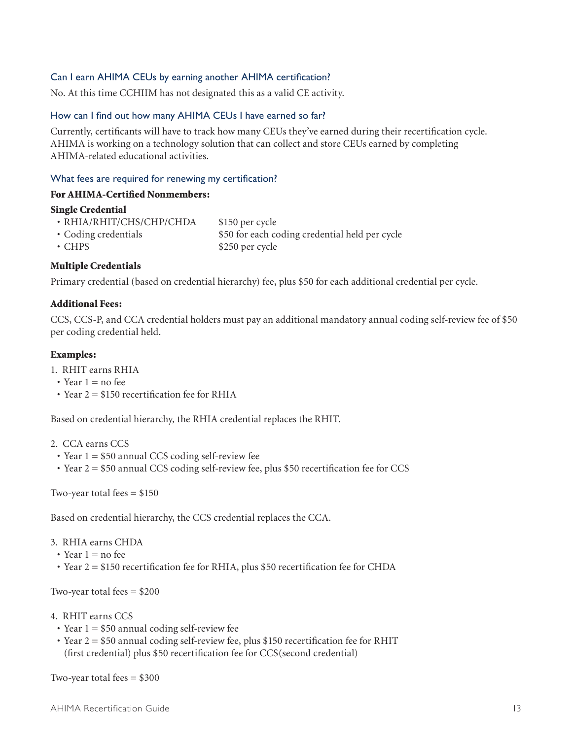### Can I earn AHIMA CEUs by earning another AHIMA certification?

No. At this time CCHIIM has not designated this as a valid CE activity.

### How can I find out how many AHIMA CEUs I have earned so far?

Currently, certificants will have to track how many CEUs they've earned during their recertification cycle. AHIMA is working on a technology solution that can collect and store CEUs earned by completing AHIMA-related educational activities.

#### What fees are required for renewing my certification?

#### For AHIMA-Certified Nonmembers:

### Single Credential

| • RHIA/RHIT/CHS/CHP/CHDA | \$150 per cycle                                |
|--------------------------|------------------------------------------------|
| • Coding credentials     | \$50 for each coding credential held per cycle |
| $\cdot$ CHPS             | \$250 per cycle                                |

### Multiple Credentials

Primary credential (based on credential hierarchy) fee, plus \$50 for each additional credential per cycle.

### Additional Fees:

CCS, CCS-P, and CCA credential holders must pay an additional mandatory annual coding self-review fee of \$50 per coding credential held.

### Examples:

- 1. RHIT earns RHIA
- Year  $1 =$  no fee
- Year  $2 = $150$  recertification fee for RHIA

Based on credential hierarchy, the RHIA credential replaces the RHIT.

- 2. CCA earns CCS
- Year  $1 = $50$  annual CCS coding self-review fee
- $\cdot$  Year 2 = \$50 annual CCS coding self-review fee, plus \$50 recertification fee for CCS

Two-year total fees  $= $150$ 

Based on credential hierarchy, the CCS credential replaces the CCA.

- 3. RHIA earns CHDA
	- Year  $1 = no$  fee
- Year 2 = \$150 recertification fee for RHIA, plus \$50 recertification fee for CHDA

Two-year total fees  $= $200$ 

- 4. RHIT earns CCS
- Year  $1 = $50$  annual coding self-review fee
- Year 2 = \$50 annual coding self-review fee, plus \$150 recertification fee for RHIT (first credential) plus \$50 recertification fee for CCS(second credential)

Two-year total fees  $= $300$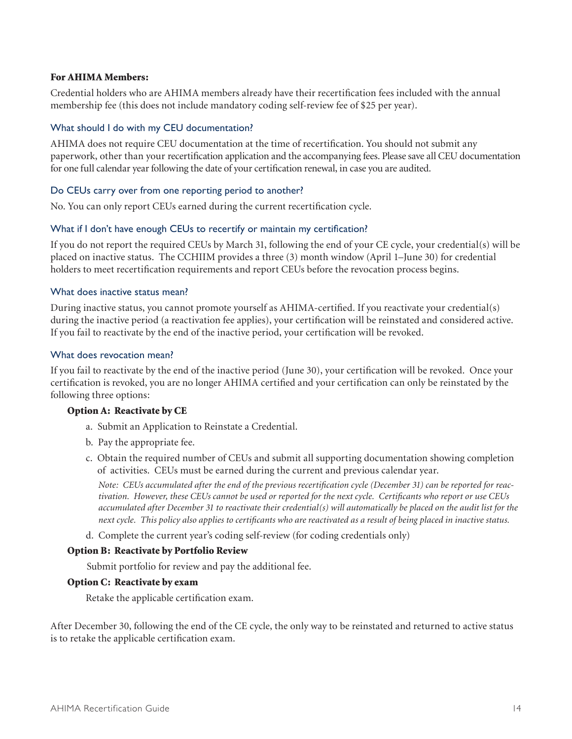### For AHIMA Members:

Credential holders who are AHIMA members already have their recertification fees included with the annual membership fee (this does not include mandatory coding self-review fee of \$25 per year).

### What should I do with my CEU documentation?

AHIMA does not require CEU documentation at the time of recertification. You should not submit any paperwork, other than your recertification application and the accompanying fees. Please save all CEU documentation for one full calendar year following the date of your certification renewal, in case you are audited.

### Do CEUs carry over from one reporting period to another?

No. You can only report CEUs earned during the current recertification cycle.

### What if I don't have enough CEUs to recertify or maintain my certification?

If you do not report the required CEUs by March 31, following the end of your CE cycle, your credential(s) will be placed on inactive status. The CCHIIM provides a three (3) month window (April 1–June 30) for credential holders to meet recertification requirements and report CEUs before the revocation process begins.

### What does inactive status mean?

During inactive status, you cannot promote yourself as AHIMA-certified. If you reactivate your credential(s) during the inactive period (a reactivation fee applies), your certification will be reinstated and considered active. If you fail to reactivate by the end of the inactive period, your certification will be revoked.

### What does revocation mean?

If you fail to reactivate by the end of the inactive period (June 30), your certification will be revoked. Once your certification is revoked, you are no longer AHIMA certified and your certification can only be reinstated by the following three options:

### Option A: Reactivate by CE

- a. Submit an Application to Reinstate a Credential.
- b. Pay the appropriate fee.
- c. Obtain the required number of CEUs and submit all supporting documentation showing completion of activities. CEUs must be earned during the current and previous calendar year.

*Note: CEUs accumulated after the end of the previous recertification cycle (December 31) can be reported for reactivation. However, these CEUs cannot be used or reported for the next cycle. Certificants who report or use CEUs accumulated after December 31 to reactivate their credential(s) will automatically be placed on the audit list for the next cycle. This policy also applies to certificants who are reactivated as a result of being placed in inactive status.*

d. Complete the current year's coding self-review (for coding credentials only)

### Option B: Reactivate by Portfolio Review

Submit portfolio for review and pay the additional fee.

### Option C: Reactivate by exam

Retake the applicable certification exam.

After December 30, following the end of the CE cycle, the only way to be reinstated and returned to active status is to retake the applicable certification exam.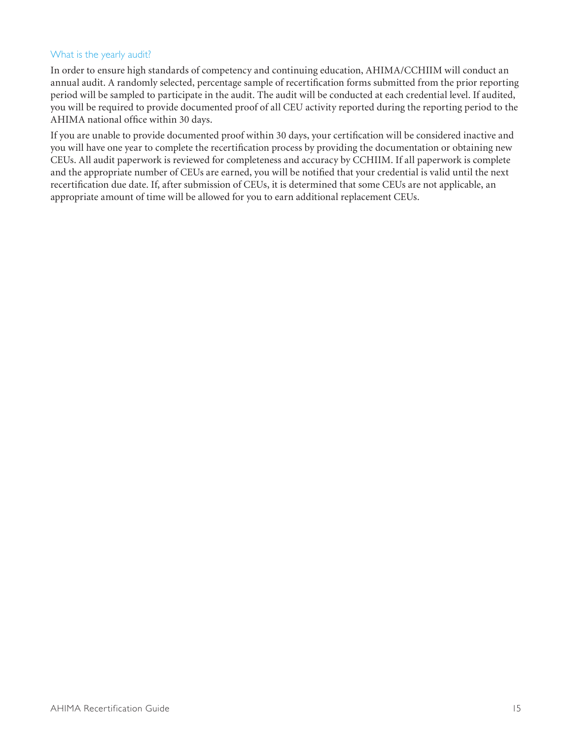### What is the yearly audit?

In order to ensure high standards of competency and continuing education, AHIMA/CCHIIM will conduct an annual audit. A randomly selected, percentage sample of recertification forms submitted from the prior reporting period will be sampled to participate in the audit. The audit will be conducted at each credential level. If audited, you will be required to provide documented proof of all CEU activity reported during the reporting period to the AHIMA national office within 30 days.

If you are unable to provide documented proof within 30 days, your certification will be considered inactive and you will have one year to complete the recertification process by providing the documentation or obtaining new CEUs. All audit paperwork is reviewed for completeness and accuracy by CCHIIM. If all paperwork is complete and the appropriate number of CEUs are earned, you will be notified that your credential is valid until the next recertification due date. If, after submission of CEUs, it is determined that some CEUs are not applicable, an appropriate amount of time will be allowed for you to earn additional replacement CEUs.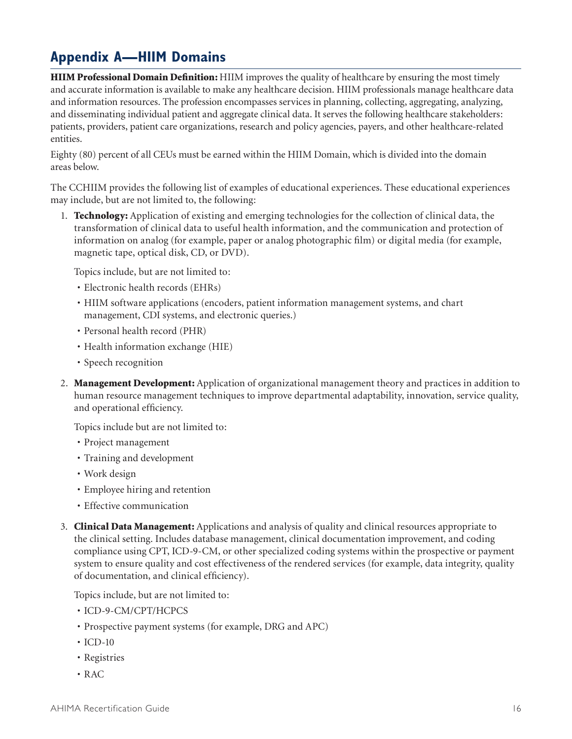# **Appendix A—HIIM Domains**

HIIM Professional Domain Definition: HIIM improves the quality of healthcare by ensuring the most timely and accurate information is available to make any healthcare decision. HIIM professionals manage healthcare data and information resources. The profession encompasses services in planning, collecting, aggregating, analyzing, and disseminating individual patient and aggregate clinical data. It serves the following healthcare stakeholders: patients, providers, patient care organizations, research and policy agencies, payers, and other healthcare-related entities.

Eighty (80) percent of all CEUs must be earned within the HIIM Domain, which is divided into the domain areas below.

The CCHIIM provides the following list of examples of educational experiences. These educational experiences may include, but are not limited to, the following:

1. **Technology:** Application of existing and emerging technologies for the collection of clinical data, the transformation of clinical data to useful health information, and the communication and protection of information on analog (for example, paper or analog photographic film) or digital media (for example, magnetic tape, optical disk, CD, or DVD).

Topics include, but are not limited to:

- Electronic health records (EHRs)
- • HIIM software applications (encoders, patient information management systems, and chart management, CDI systems, and electronic queries.)
- Personal health record (PHR)
- Health information exchange (HIE)
- Speech recognition
- 2. Management Development: Application of organizational management theory and practices in addition to human resource management techniques to improve departmental adaptability, innovation, service quality, and operational efficiency.

Topics include but are not limited to:

- • Project management
- • Training and development
- Work design
- Employee hiring and retention
- Effective communication
- 3. Clinical Data Management: Applications and analysis of quality and clinical resources appropriate to the clinical setting. Includes database management, clinical documentation improvement, and coding compliance using CPT, ICD-9-CM, or other specialized coding systems within the prospective or payment system to ensure quality and cost effectiveness of the rendered services (for example, data integrity, quality of documentation, and clinical efficiency).

Topics include, but are not limited to:

- ICD-9-CM/CPT/HCPCS
- • Prospective payment systems (for example, DRG and APC)
- $\cdot$  ICD-10
- • Registries
- • RAC